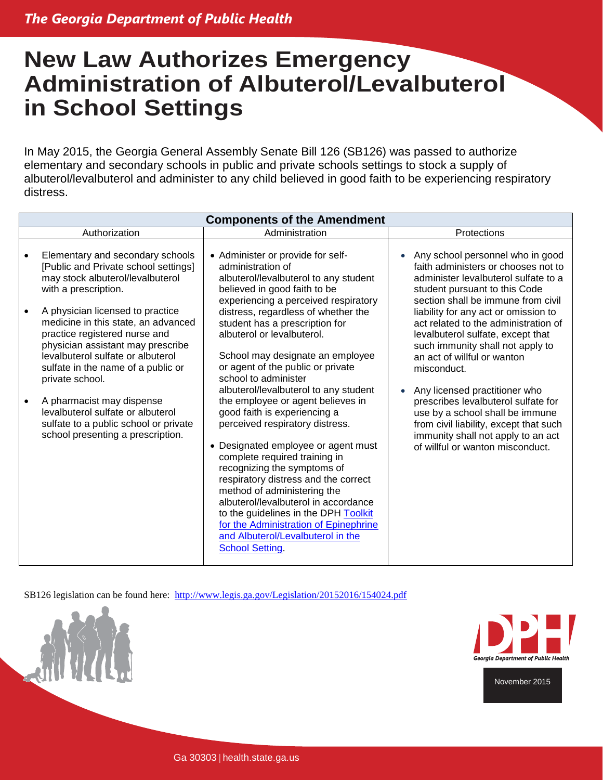# **New Law Authorizes Emergency Administration of Albuterol/Levalbuterol in School Settings**

In May 2015, the Georgia General Assembly Senate Bill 126 (SB126) was passed to authorize elementary and secondary schools in public and private schools settings to stock a supply of albuterol/levalbuterol and administer to any child believed in good faith to be experiencing respiratory distress.

SB126 legislation can be found here: <http://www.legis.ga.gov/Legislation/20152016/154024.pdf>





November 2015